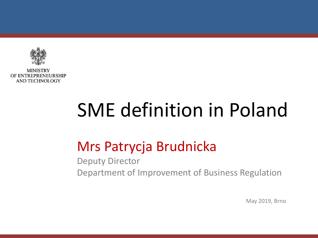

**MINISTRY** OF ENTREPRENEURSHIP AND TECHNOLOGY

# SME definition in Poland

# Mrs Patrycja Brudnicka

Deputy Director Department of Improvement of Business Regulation

May 2019, Brno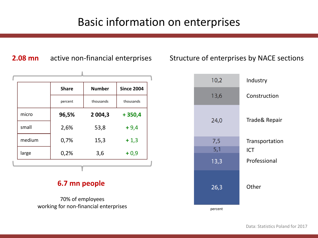### Basic information on enterprises

|        | <b>Share</b> | <b>Number</b> | <b>Since 2004</b> |
|--------|--------------|---------------|-------------------|
|        | percent      | thousands     | thousands         |
| micro  | 96,5%        | 2 0 0 4,3     | $+350,4$          |
| small  | 2,6%         | 53,8          | $+9,4$            |
| medium | 0,7%         | 15,3          | $+1,3$            |
| large  | 0,2%         | 3,6           | $+0,9$            |

**2.08 mn** active non-financial enterprises

#### **6.7 mn people**

70% of employees working for non-financial enterprises

#### Structure of enterprises by NACE sections

| 10,2    | Industry       |
|---------|----------------|
| 13,6    | Construction   |
| 24,0    | Trade& Repair  |
| 7,5     | Transportation |
| 5,1     | <b>ICT</b>     |
| 13,3    | Professional   |
| 26,3    | Other          |
| percent |                |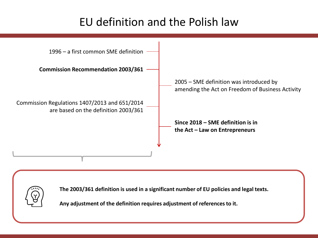### EU definition and the Polish law





**The 2003/361 definition is used in a significant number of EU policies and legal texts.**

**Any adjustment of the definition requires adjustment of referencesto it.**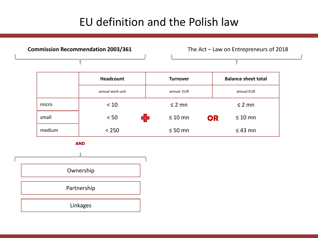### EU definition and the Polish law

**Commission Recommendation 2003/361** The Act – Law on Entrepreneurs of 2018

|        | <b>Headcount</b> | <b>Turnover</b> | <b>Balance sheet total</b> |
|--------|------------------|-----------------|----------------------------|
|        | annual work unit | annual EUR      | annual EUR                 |
| micro  | < 10             | $\leq$ 2 mn     | $\leq$ 2 mn                |
| small  | Ф<br>< 50        | $\leq 10$ mn    | OR<br>$\leq 10$ mn         |
| medium | < 250            | $\leq 50$ mn    | $\leq 43$ mn               |

**AND**

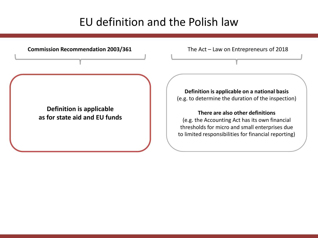#### EU definition and the Polish law

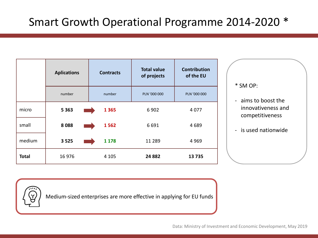|              | <b>Aplications</b> | <b>Contracts</b> | <b>Total value</b><br>of projects | <b>Contribution</b><br>of the EU |
|--------------|--------------------|------------------|-----------------------------------|----------------------------------|
|              | number             | number           | PLN '000 000                      | PLN '000 000                     |
| micro        | 5 3 6 3            | 1 3 6 5          | 6902                              | 4 0 7 7                          |
| small        | 8088               | 1562             | 6691                              | 4689                             |
| medium       | 3 5 2 5            | 1 1 7 8          | 11 2 8 9                          | 4 9 6 9                          |
| <b>Total</b> | 16 976             | 4 1 0 5          | 24 8 82                           | 13735                            |

- \* SM OP:
- aims to boost the innovativeness and competitiveness
- is used nationwide



Medium-sized enterprises are more effective in applying for EU funds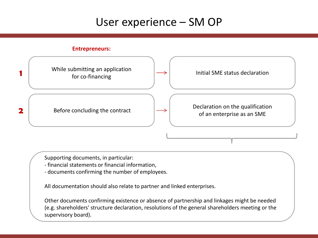#### User experience – SM OP

#### **Entrepreneurs:**



Supporting documents, in particular:

- financial statements or financial information,
- documents confirming the number of employees.

All documentation should also relate to partner and linked enterprises.

Other documents confirming existence or absence of partnership and linkages might be needed (e.g. shareholders' structure declaration, resolutions of the general shareholders meeting or the supervisory board).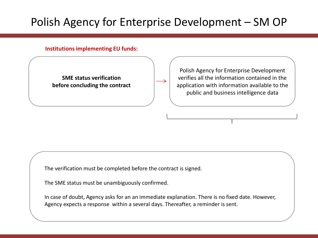## Polish Agency for Enterprise Development – SM OP

#### **Institutions implementing EU funds:**

**SME status verification before concluding the contract**

Polish Agency for Enterprise Development verifies all the information contained in the application with information available to the public and business intelligence data

The verification must be completed before the contract is signed.

The SME status must be unambiguously confirmed.

In case of doubt, Agency asks for an an immediate explanation. There is no fixed date. However, Agency expects a response within a several days. Thereafter, a reminder is sent.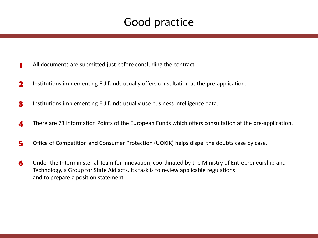#### Good practice

- **1** All documents are submitted just before concluding the contract.
- **2** Institutions implementing EU funds usually offers consultation at the pre-application.
- **3** Institutions implementing EU funds usually use business intelligence data.
- **4** There are 73 Information Points of the European Funds which offers consultation at the pre-application.
- **5** Office of Competition and Consumer Protection (UOKiK) helps dispel the doubts case by case.
- **6** Under the Interministerial Team for Innovation, coordinated by the Ministry of Entrepreneurship and Technology, a Group for State Aid acts. Its task is to review applicable regulations and to prepare a position statement.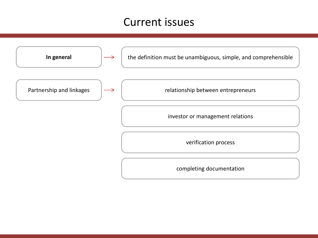#### Current issues

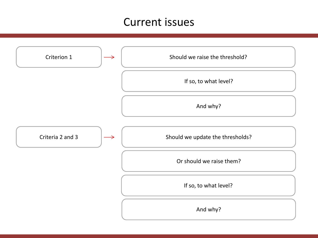#### Current issues

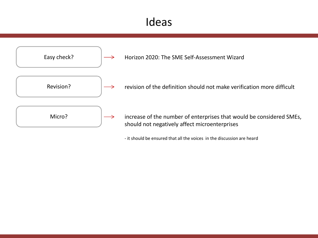#### Ideas



- it should be ensured that all the voices in the discussion are heard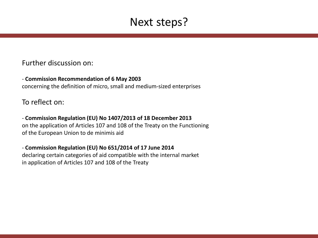#### Next steps?

#### Further discussion on:

- **Commission Recommendation of 6 May 2003** concerning the definition of micro, small and medium-sized enterprises

To reflect on:

- **Commission Regulation (EU) No 1407/2013 of 18 December 2013** on the application of Articles 107 and 108 of the Treaty on the Functioning of the European Union to de minimis aid

- **Commission Regulation (EU) No 651/2014 of 17 June 2014** declaring certain categories of aid compatible with the internal market in application of Articles 107 and 108 of the Treaty